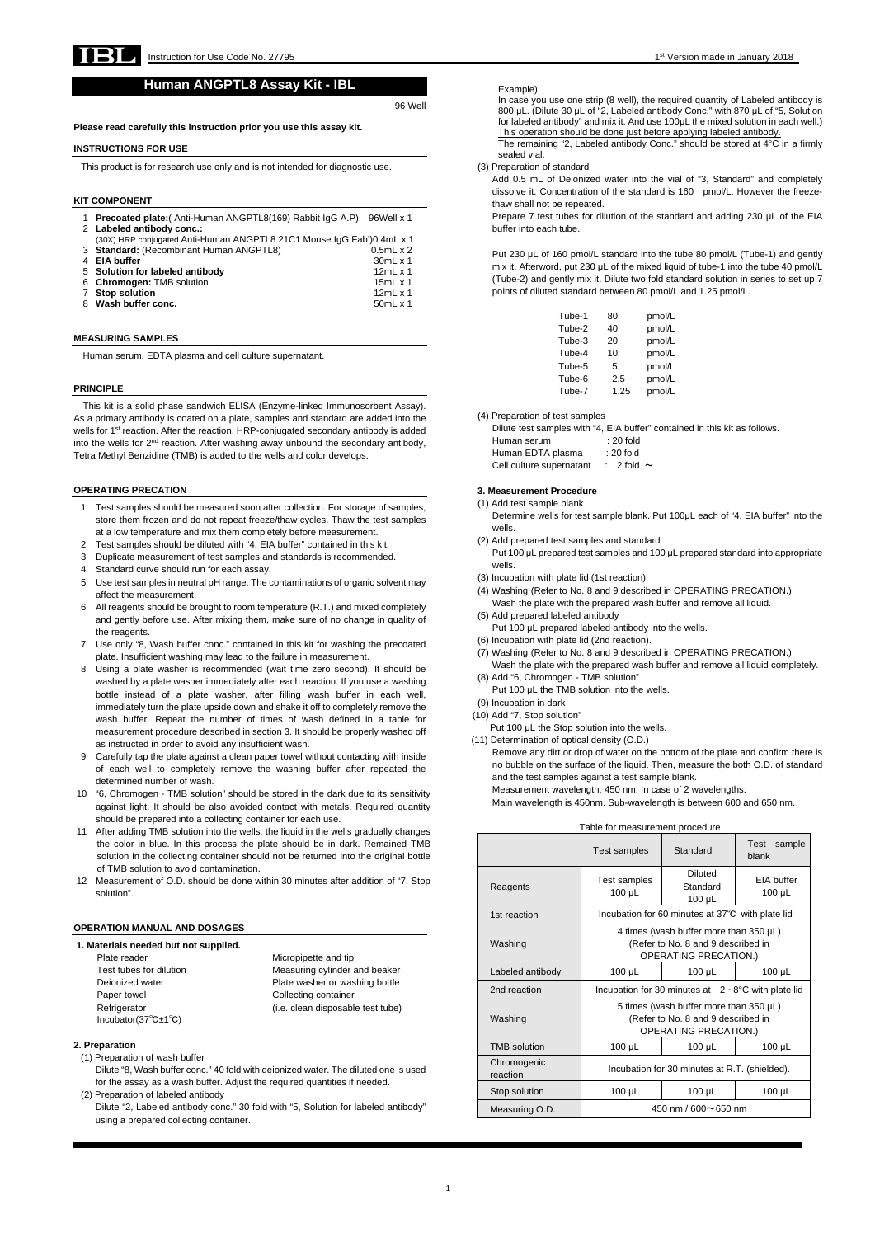

# **Human ANGPTL8 Assay Kit - IBL**

96 Well

**Please read carefully this instruction prior you use this assay kit.** 

**Labeled antibody conc.:** (30X) HRP conjugated Anti-Human ANGPTL8 21C1 Mouse IgG Fab')0.4mL x 1 **Standard:** (Recombinant Human ANGPTL8) 0.5mL x 2 **EIA buffer** 30mL x 1 **Solution for labeled antibody** 12mL x 1 **Chromogen:** TMB solution 15mL x 1 **Stop solution** 12mL x 1 **Wash buffer conc.** 50mL x 1

# **INSTRUCTIONS FOR USE**

This product is for research use only and is not intended for diagnostic use.

#### **KIT COMPONENT**

|  |  | 1 Precoated plate: (Anti-Human ANGPTL8(169) Rabbit IgG A.P) 96Well x 1 |  |
|--|--|------------------------------------------------------------------------|--|
|--|--|------------------------------------------------------------------------|--|

#### **MEASURING SAMPLES**

Human serum, EDTA plasma and cell culture supernatant.

#### **PRINCIPLE**

This kit is a solid phase sandwich ELISA (Enzyme-linked Immunosorbent Assay). As a primary antibody is coated on a plate, samples and standard are added into the wells for 1<sup>st</sup> reaction. After the reaction, HRP-conjugated secondary antibody is added into the wells for 2<sup>nd</sup> reaction. After washing away unbound the secondary antibody, Tetra Methyl Benzidine (TMB) is added to the wells and color develops.

## **OPERATING PRECATION**

Plate reader **Micropipette** and tip Paper towel **Collecting container** Incubator(37℃±1℃)

Test tubes for dilution Measuring cylinder and beaker Deionized water **Plate washer or washing bottle** Refrigerator **(i.e. clean disposable test tube)** 

- 1 Test samples should be measured soon after collection. For storage of samples, store them frozen and do not repeat freeze/thaw cycles. Thaw the test samples at a low temperature and mix them completely before measurement.
- 2 Test samples should be diluted with "4, EIA buffer" contained in this kit.
- 3 Duplicate measurement of test samples and standards is recommended.
- 4 Standard curve should run for each assay.
- 5 Use test samples in neutral pH range. The contaminations of organic solvent may affect the measurement.
- 6 All reagents should be brought to room temperature (R.T.) and mixed completely and gently before use. After mixing them, make sure of no change in quality of the reagents.
- 7 Use only "8, Wash buffer conc." contained in this kit for washing the precoated plate. Insufficient washing may lead to the failure in measurement.
- 8 Using a plate washer is recommended (wait time zero second). It should be washed by a plate washer immediately after each reaction. If you use a washing bottle instead of a plate washer, after filling wash buffer in each well, immediately turn the plate upside down and shake it off to completely remove the wash buffer. Repeat the number of times of wash defined in a table for measurement procedure described in section 3. It should be properly washed off as instructed in order to avoid any insufficient wash.
- 9 Carefully tap the plate against a clean paper towel without contacting with inside of each well to completely remove the washing buffer after repeated the determined number of wash.
- 10 "6, Chromogen TMB solution" should be stored in the dark due to its sensitivity against light. It should be also avoided contact with metals. Required quantity should be prepared into a collecting container for each use.
- 11 After adding TMB solution into the wells, the liquid in the wells gradually changes the color in blue. In this process the plate should be in dark. Remained TMB solution in the collecting container should not be returned into the original bottle of TMB solution to avoid contamination.
- 12 Measurement of O.D. should be done within 30 minutes after addition of "7, Stop solution".

Dilute test samples with "4, EIA buffer" contained in this kit as follows. Human serum : 20 fold Human EDTA plasma : 20 fold Cell culture supernatant : 2 fold  $\sim$ 

#### **1. Materials needed but not supplied.**

## **2. Preparation**

(1) Preparation of wash buffer

Dilute "8, Wash buffer conc." 40 fold with deionized water. The diluted one is used for the assay as a wash buffer. Adjust the required quantities if needed.

## (2) Preparation of labeled antibody

Dilute "2, Labeled antibody conc." 30 fold with "5, Solution for labeled antibody" using a prepared collecting container.

## Example)

In case you use one strip (8 well), the required quantity of Labeled antibody is 800 μL. (Dilute 30 μL of "2, Labeled antibody Conc." with 870 μL of "5, Solution for labeled antibody" and mix it. And use 100μL the mixed solution in each well.) This operation should be done just before applying labeled antibody.

The remaining "2, Labeled antibody Conc." should be stored at 4°C in a firmly sealed vial.

(3) Preparation of standard

Add 0.5 mL of Deionized water into the vial of "3, Standard" and completely dissolve it. Concentration of the standard is 160 pmol/L. However the freezethaw shall not be repeated.

Prepare 7 test tubes for dilution of the standard and adding 230 μL of the EIA buffer into each tube.

Put 230 μL of 160 pmol/L standard into the tube 80 pmol/L (Tube-1) and gently mix it. Afterword, put 230 μL of the mixed liquid of tube-1 into the tube 40 pmol/L (Tube-2) and gently mix it. Dilute two fold standard solution in series to set up 7 points of diluted standard between 80 pmol/L and 1.25 pmol/L.

| Tube-1 | 80   | pmol/L |
|--------|------|--------|
| Tube-2 | 40   | pmol/L |
| Tube-3 | 20   | pmol/L |
| Tube-4 | 10   | pmol/L |
| Tube-5 | 5    | pmol/L |
| Tube-6 | 2.5  | pmol/L |
| Tube-7 | 1.25 | pmol/L |

(4) Preparation of test samples

# **3. Measurement Procedure**

- (1) Add test sample blank Determine wells for test sample blank. Put 100μL each of "4, EIA buffer" into the wells.
- (2) Add prepared test samples and standard

Put 100 μL prepared test samples and 100 μL prepared standard into appropriate wells.

- (3) Incubation with plate lid (1st reaction).
- (4) Washing (Refer to No. 8 and 9 described in OPERATING PRECATION.) Wash the plate with the prepared wash buffer and remove all liquid.
- (5) Add prepared labeled antibody
	- Put 100 μL prepared labeled antibody into the wells.
- (6) Incubation with plate lid (2nd reaction).
- (7) Washing (Refer to No. 8 and 9 described in OPERATING PRECATION.) Wash the plate with the prepared wash buffer and remove all liquid completely. (8) Add "6, Chromogen - TMB solution"
	- Put 100 μL the TMB solution into the wells.
- (9) Incubation in dark
- (10) Add "7, Stop solution"

Put 100 μL the Stop solution into the wells.

(11) Determination of optical density (O.D.)

Remove any dirt or drop of water on the bottom of the plate and confirm there is no bubble on the surface of the liquid. Then, measure the both O.D. of standard and the test samples against a test sample blank.

Measurement wavelength: 450 nm. In case of 2 wavelengths:

Main wavelength is 450nm. Sub-wavelength is between 600 and 650 nm.

| Table for measurement procedure |                                                                                                                                                                       |                                                  |                                  |
|---------------------------------|-----------------------------------------------------------------------------------------------------------------------------------------------------------------------|--------------------------------------------------|----------------------------------|
|                                 | Test samples                                                                                                                                                          | Standard                                         | Test sample<br>blank             |
| Reagents                        | Test samples<br>100 µL                                                                                                                                                | Diluted<br>Standard<br>$100 \mu L$               | <b>FIA buffer</b><br>$100 \mu L$ |
| 1st reaction                    |                                                                                                                                                                       | Incubation for 60 minutes at 37°C with plate lid |                                  |
| Washing                         | 4 times (wash buffer more than 350 µL)<br>(Refer to No. 8 and 9 described in<br><b>OPERATING PRECATION.)</b>                                                          |                                                  |                                  |
| Labeled antibody                | 100 µL                                                                                                                                                                | $100 \mu L$                                      | 100 µL                           |
| 2nd reaction                    | Incubation for 30 minutes at $2 - 8$ °C with plate lid<br>5 times (wash buffer more than $350 \mu L$ )<br>(Refer to No. 8 and 9 described in<br>OPERATING PRECATION.) |                                                  |                                  |
| Washing                         |                                                                                                                                                                       |                                                  |                                  |
| <b>TMB</b> solution             | $100 \mu L$                                                                                                                                                           | $100 \mu L$                                      | $100 \mu L$                      |
| Chromogenic<br>reaction         | Incubation for 30 minutes at R.T. (shielded).                                                                                                                         |                                                  |                                  |
| Stop solution                   | 100 µL                                                                                                                                                                | $100 \mu L$                                      | 100 µL                           |
| Measuring O.D.                  | 450 nm / 600 $\sim$ 650 nm                                                                                                                                            |                                                  |                                  |